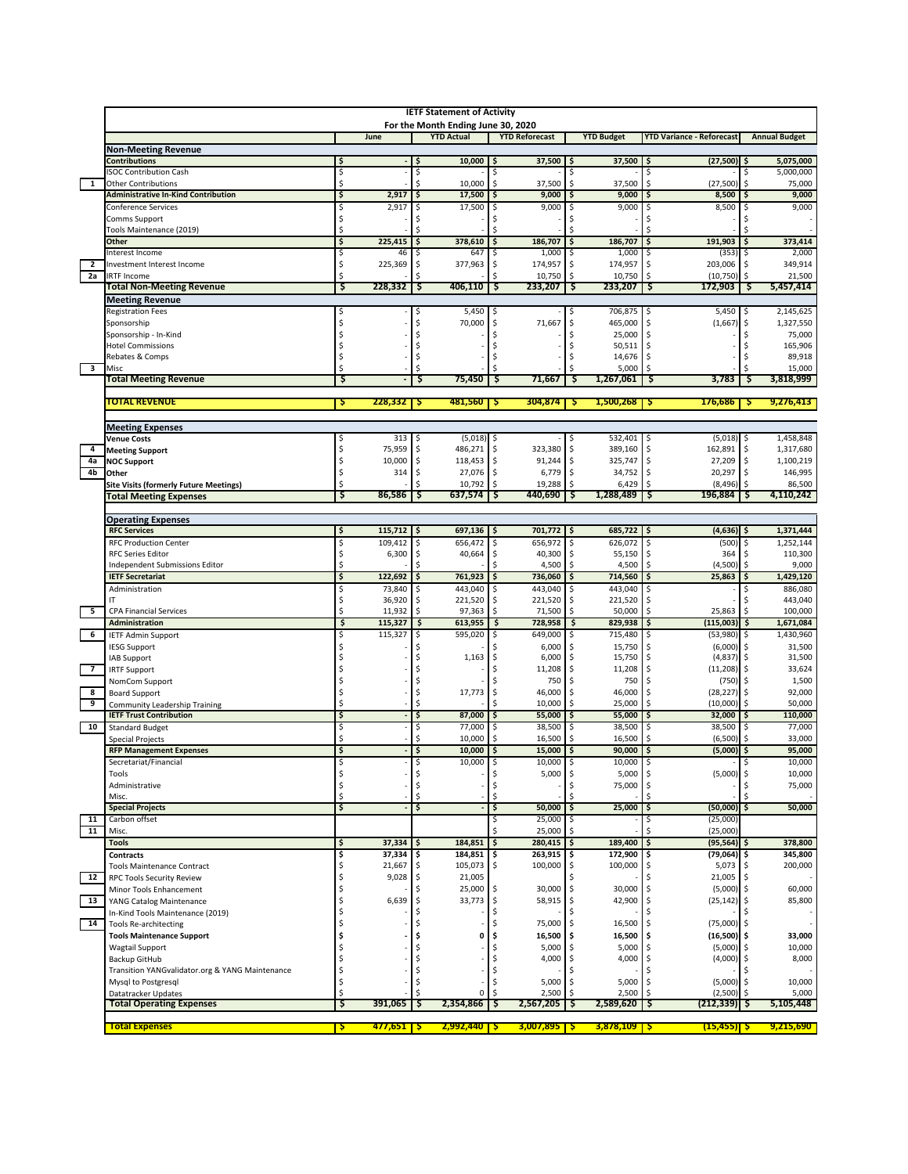|                          | <b>IETF Statement of Activity</b><br>For the Month Ending June 30, 2020 |                                                                                                                                     |                  |          |                    |          |                        |          |                      |           |                           |            |                      |  |  |
|--------------------------|-------------------------------------------------------------------------|-------------------------------------------------------------------------------------------------------------------------------------|------------------|----------|--------------------|----------|------------------------|----------|----------------------|-----------|---------------------------|------------|----------------------|--|--|
|                          |                                                                         | June<br><b>YTD Actual</b><br><b>YTD Reforecast</b><br><b>YTD Budget</b><br><b>Annual Budget</b><br><b>YTD Variance - Reforecast</b> |                  |          |                    |          |                        |          |                      |           |                           |            |                      |  |  |
|                          | <b>Non-Meeting Revenue</b>                                              |                                                                                                                                     |                  |          |                    |          |                        |          |                      |           |                           |            |                      |  |  |
|                          | <b>Contributions</b>                                                    | \$                                                                                                                                  |                  |          | 10,000             | \$       | 37,500                 |          | 37,500               | \$        | $(27,500)$ \$             |            | 5,075,000            |  |  |
| $\overline{1}$           | <b>ISOC Contribution Cash</b><br><b>Other Contributions</b>             | \$<br>\$                                                                                                                            |                  | \$<br>Ś  | 10,000             | Ś<br>\$  | 37,500                 | \$       | 37,500               | Ś         | (27, 500)                 | Ŝ<br>\$    | 5,000,000<br>75,000  |  |  |
|                          | <b>Administrative In-Kind Contribution</b>                              | \$                                                                                                                                  | 2,917            |          | 17,500             | \$       | 9,000                  |          | 9,000                |           | 8,500                     | \$.        | 9,000                |  |  |
|                          | <b>Conference Services</b>                                              | \$                                                                                                                                  | 2,917            | Ŝ        | 17,500             | \$       | 9,000                  | Ŝ        | 9,000                | Ś         | 8,500                     | S          | 9,000                |  |  |
|                          | Comms Support<br>Tools Maintenance (2019)                               | \$<br>\$                                                                                                                            |                  |          |                    |          |                        |          |                      |           |                           |            |                      |  |  |
|                          | <b>Other</b>                                                            | \$                                                                                                                                  | 225,415          | \$       | 378,610            | \$       | 186,707                |          | 186,707              | \$        | 191,903                   | \$         | 373,414              |  |  |
|                          | Interest Income                                                         | \$                                                                                                                                  | 46               |          | 647                |          | 1,000                  |          | 1,000                |           | (353)                     |            | 2,000                |  |  |
| $\overline{2}$<br>2a     | Investment Interest Income                                              | \$<br>Ś                                                                                                                             | 225.369          | Ŝ        | 377,963            | \$       | 174,957                |          | 174,957              | Ś         | 203,006                   | Ŝ.         | 349,914<br>21,500    |  |  |
|                          | <b>IRTF Income</b><br><b>Total Non-Meeting Revenue</b>                  | Ş                                                                                                                                   | 228,332          | Ş        | 406,110            | Ş        | 10,750<br>233,207      |          | 10,750<br>233,207    | Ş         | (10, 750)<br>172,903      | Ş          | 5,457,414            |  |  |
|                          | <b>Meeting Revenue</b>                                                  |                                                                                                                                     |                  |          |                    |          |                        |          |                      |           |                           |            |                      |  |  |
|                          | <b>Registration Fees</b>                                                | \$                                                                                                                                  |                  | S        | 5,450              | -\$      |                        |          | 706,875              | S         | 5,450                     | -\$        | 2,145,625            |  |  |
|                          | Sponsorship<br>Sponsorship - In-Kind                                    | \$<br>\$                                                                                                                            |                  | Ś        | 70,000             | \$<br>Ś  | 71,667                 |          | 465,000<br>25,000    | \$<br>l\$ | (1,667)                   | \$<br>Ś    | 1,327,550<br>75,000  |  |  |
|                          | <b>Hotel Commissions</b>                                                | \$                                                                                                                                  |                  |          |                    | Ś        |                        |          | 50,511               | \$        |                           |            | 165,906              |  |  |
|                          | Rebates & Comps                                                         | \$                                                                                                                                  |                  |          |                    | Ś        |                        |          | 14,676               | \$        |                           |            | 89,918               |  |  |
| $\overline{\mathbf{3}}$  | Misc<br><b>Total Meeting Revenue</b>                                    | Ś<br>`Ş                                                                                                                             |                  | S        | 75,450             | Ş        | 71,667                 | s        | 5,000<br>1,267,061   | .s        | 3,783                     | S          | 15,000<br>3,818,999  |  |  |
|                          |                                                                         |                                                                                                                                     |                  |          |                    |          |                        |          |                      |           |                           |            |                      |  |  |
|                          | <b>TOTAL REVENUE</b>                                                    | Ş                                                                                                                                   | 228,332          | 5        | 481,560            | Ş        | 304,874                | -Ş       | 1,500,268            | Ş         | 176,686                   | -5         | 9,276,413            |  |  |
|                          | <b>Meeting Expenses</b>                                                 |                                                                                                                                     |                  |          |                    |          |                        |          |                      |           |                           |            |                      |  |  |
|                          | <b>Venue Costs</b>                                                      | \$                                                                                                                                  | 313              |          | (5,018)            | -\$      |                        |          | 532,401              | \$.       | (5,018)                   | \$.        | 1,458,848            |  |  |
| 4                        | <b>Meeting Support</b>                                                  | \$                                                                                                                                  | 75,959<br>10,000 | -Ś       | 486,271<br>118,453 | \$       | 323,380                | Ŝ.       | 389,160              | S.        | 162,891                   | \$         | 1,317,680            |  |  |
| 4a<br>4b                 | <b>NOC Support</b><br>Other                                             | \$<br>\$                                                                                                                            | 314              | S.<br>S. | 27,076             | \$<br>Ŝ. | 91,244<br>6,779        | \$<br>\$ | 325,747<br>34,752 \$ | \$        | 27,209<br>20,297          | \$<br>-\$  | 1,100,219<br>146,995 |  |  |
|                          | <b>Site Visits (formerly Future Meetings)</b>                           | \$                                                                                                                                  |                  |          | 10,792             | \$       | 19,288                 | \$       | 6,429                | Ś.        | $(8,496)$ \$              |            | 86,500               |  |  |
|                          | <b>Total Meeting Expenses</b>                                           | S                                                                                                                                   | 86,586           | S        | 637,574            | S        | 440,690                |          | 1,288,489            | S         | 196,884                   | S          | 4,110,242            |  |  |
|                          | <b>Operating Expenses</b>                                               |                                                                                                                                     |                  |          |                    |          |                        |          |                      |           |                           |            |                      |  |  |
|                          | <b>RFC Services</b>                                                     | \$                                                                                                                                  | 115,712          |          | 697,136            | -\$      | 701,772                | ۱\$      | 685,722              | \$.       | $(4,636)$ \$              |            | 1,371,444            |  |  |
|                          | <b>RFC Production Center</b>                                            | \$                                                                                                                                  | 109,412          | S.       | 656,472            | \$       | 656,972                |          | 626,072              | Ŝ         | (500)                     | \$         | 1,252,144            |  |  |
|                          | <b>RFC Series Editor</b><br>Independent Submissions Editor              | \$<br>\$                                                                                                                            | 6,300            | \$       | 40,664             | \$       | 40,300<br>4,500        |          | 55,150<br>4,500      | \$<br>Ś.  | 364<br>(4,500)            | \$         | 110,300<br>9,000     |  |  |
|                          | <b>IETF Secretariat</b>                                                 | \$                                                                                                                                  | 122,692          |          | 761,923            | \$       | 736,060                |          | 714,560              |           | 25,863                    | \$         | 1,429,120            |  |  |
|                          | Administration                                                          | \$                                                                                                                                  | 73,840           |          | 443,040            | \$.      | 443,040                |          | 443,040              | Ś         |                           |            | 886,080              |  |  |
| $\overline{\phantom{0}}$ | IT<br><b>CPA Financial Services</b>                                     | \$<br>\$                                                                                                                            | 36,920<br>11,932 |          | 221,520<br>97,363  | \$       | 221,520<br>71,500      | Ŝ        | 221,520<br>50,000    | \$<br>Ś   | 25,863                    | Ŝ<br>\$    | 443,040<br>100,000   |  |  |
|                          | Administration                                                          | \$                                                                                                                                  | 115,327          | \$       | 613,955            | \$       | 728,958                | \$       | 829,938              | \$        | (115,003)                 | \$         | 1,671,084            |  |  |
| 6                        | <b>IETF Admin Support</b>                                               | Ś                                                                                                                                   | 115,327          |          | 595,020            |          | 649,000                |          | 715,480              | \$        | (53,980)                  | \$         | 1,430,960            |  |  |
|                          | <b>IESG Support</b><br>IAB Support                                      |                                                                                                                                     |                  |          | 1,163              | \$       | 6,000<br>6,000         |          | 15,750<br>15,750     | \$        | (6,000)<br>(4, 837)       | \$         | 31,500<br>31,500     |  |  |
| $\overline{7}$           | <b>IRTF Support</b>                                                     |                                                                                                                                     |                  |          |                    |          | 11,208                 |          | 11,208               | Ś         | (11, 208)                 |            | 33,624               |  |  |
|                          | NomCom Support                                                          | Ś                                                                                                                                   |                  |          |                    |          | 750                    |          | 750                  | Ś.        | (750)                     | \$         | 1,500                |  |  |
| 8<br>9                   | <b>Board Support</b><br><b>Community Leadership Training</b>            | \$<br>\$                                                                                                                            |                  | Ś        | 17,773             | \$<br>\$ | 46,000<br>10,000       |          | 46,000<br>25,000     | \$        | (28, 227)<br>(10,000)     | \$         | 92,000<br>50,000     |  |  |
|                          | <b>IETF Trust Contribution</b>                                          | \$                                                                                                                                  |                  | \$       | 87,000             | \$       | 55,000                 |          | 55,000               |           | 32,000                    | -\$        | 110,000              |  |  |
| 10                       | <b>Standard Budget</b>                                                  | \$                                                                                                                                  |                  | Ś        | 77,000             | Ś        | 38,500                 |          | 38,500               |           | 38,500                    |            | 77,000               |  |  |
|                          | <b>Special Projects</b><br><b>RFP Management Expenses</b>               | \$<br>\$                                                                                                                            |                  | Ś<br>Ś   | 10,000<br>10,000   | \$       | 16,500<br>15,000       |          | 16,500<br>90,000     |           | (6,500)<br>$(5,000)$ \$   |            | 33,000<br>95,000     |  |  |
|                          | Secretariat/Financial                                                   | Ś                                                                                                                                   |                  |          | 10,000             | S.       | 10,000                 | Ŝ.       | 10,000               | \$        |                           |            | 10,000               |  |  |
|                          | Tools                                                                   | \$                                                                                                                                  |                  |          |                    | \$       | 5,000                  |          | 5,000                | Ś         | (5,000)                   | \$         | 10,000               |  |  |
|                          | Administrative<br>Misc.                                                 | \$<br>\$                                                                                                                            |                  | \$<br>Ś  |                    | \$<br>Ś  |                        |          | 75,000               | \$        |                           | \$         | 75,000               |  |  |
|                          | <b>Special Projects</b>                                                 | \$                                                                                                                                  |                  | \$       |                    | \$       | 50,000                 |          | 25,000               |           | (50,000)                  | \$         | 50,000               |  |  |
| 11                       | Carbon offset                                                           |                                                                                                                                     |                  |          |                    | S        | 25,000                 |          |                      |           | (25,000)                  |            |                      |  |  |
| 11                       | Misc.<br><b>Tools</b>                                                   | Ś                                                                                                                                   | 37,334           |          | 184,851            | \$       | 25,000<br>280,415      | \$.      | 189,400              | \$        | (25,000)<br>$(95,564)$ \$ |            | 378,800              |  |  |
|                          | Contracts                                                               | \$                                                                                                                                  | 37,334           | \$       | 184,851            | \$       | 263,915                | \$       | 172,900              | \$        | $(79,064)$ \$             |            | 345,800              |  |  |
|                          | <b>Tools Maintenance Contract</b>                                       | \$                                                                                                                                  | 21,667           |          | 105,073            | \$       | 100,000                | \$       | 100,000              | \$        | 5,073                     | \$         | 200,000              |  |  |
| 12                       | <b>RPC Tools Security Review</b>                                        | \$<br>\$                                                                                                                            | 9,028            | -\$      | 21,005<br>25,000   | \$       | 30,000                 | \$       | 30,000               | Ś<br>\$   | 21,005<br>(5,000)         | l \$<br>Ŝ. | 60,000               |  |  |
| 13                       | Minor Tools Enhancement<br>YANG Catalog Maintenance                     | \$                                                                                                                                  | 6,639            |          | 33,773             | \$       | 58,915                 |          | 42,900               |           | (25, 142)                 | \$.        | 85,800               |  |  |
|                          | In-Kind Tools Maintenance (2019)                                        | \$                                                                                                                                  |                  |          |                    | \$       |                        |          |                      |           |                           |            |                      |  |  |
| 14                       | <b>Tools Re-architecting</b>                                            | Ś                                                                                                                                   |                  |          |                    | Ś        | 75,000                 |          | 16,500               | \$        | (75,000)                  | \$         |                      |  |  |
|                          | <b>Tools Maintenance Support</b><br>Wagtail Support                     | Ś<br>\$                                                                                                                             |                  |          | 0                  | Ś<br>\$  | 16,500<br>5,000        |          | 16,500<br>5,000      |           | (16, 500)<br>(5,000)      |            | 33,000<br>10,000     |  |  |
|                          | Backup GitHub                                                           | \$                                                                                                                                  |                  |          |                    | Ś.       | 4,000                  |          | 4,000                | \$        | (4,000)                   | \$         | 8,000                |  |  |
|                          | Transition YANGvalidator.org & YANG Maintenance                         | \$                                                                                                                                  |                  |          |                    | \$       |                        |          |                      | ς         |                           |            |                      |  |  |
|                          | Mysql to Postgresql<br>Datatracker Updates                              | \$<br>\$                                                                                                                            |                  |          | 0                  | Ś<br>\$  | 5,000<br>2,500         |          | 5,000<br>2,500       | \$<br>Ŝ   | (5,000)<br>(2,500)        |            | 10,000<br>5,000      |  |  |
|                          | <b>Total Operating Expenses</b>                                         | Ş                                                                                                                                   | 391,065          | Ş        | 2,354,866          | Ş        | 2,567,205              | -5       | 2,589,620            | Ş         | $(212, 339)$ \$           |            | 5,105,448            |  |  |
|                          | <b>Total Expenses</b>                                                   | Ş                                                                                                                                   | $477,651$ S      |          | $2,992,440$   S    |          | $3,007,895$ $\sqrt{5}$ |          | 3,878,109 <b>S</b>   |           | $(15, 455)$ \$            |            | 9,215,690            |  |  |